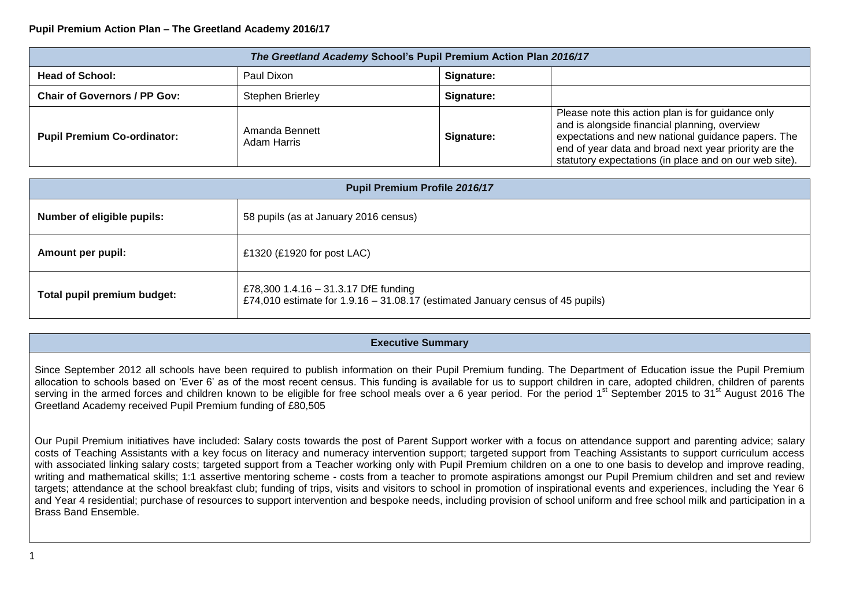## **Pupil Premium Action Plan – The Greetland Academy 2016/17**

| The Greetland Academy School's Pupil Premium Action Plan 2016/17 |                               |            |                                                                                                                                                                                                                                                                             |  |  |  |
|------------------------------------------------------------------|-------------------------------|------------|-----------------------------------------------------------------------------------------------------------------------------------------------------------------------------------------------------------------------------------------------------------------------------|--|--|--|
| <b>Head of School:</b>                                           | Paul Dixon                    | Signature: |                                                                                                                                                                                                                                                                             |  |  |  |
| Chair of Governors / PP Gov:                                     | <b>Stephen Brierley</b>       | Signature: |                                                                                                                                                                                                                                                                             |  |  |  |
| <b>Pupil Premium Co-ordinator:</b>                               | Amanda Bennett<br>Adam Harris | Signature: | Please note this action plan is for guidance only<br>and is alongside financial planning, overview<br>expectations and new national guidance papers. The<br>end of year data and broad next year priority are the<br>statutory expectations (in place and on our web site). |  |  |  |

| <b>Pupil Premium Profile 2016/17</b> |                                                                                                                          |  |  |  |
|--------------------------------------|--------------------------------------------------------------------------------------------------------------------------|--|--|--|
| Number of eligible pupils:           | 58 pupils (as at January 2016 census)                                                                                    |  |  |  |
| <b>Amount per pupil:</b>             | £1320 (£1920 for post LAC)                                                                                               |  |  |  |
| Total pupil premium budget:          | £78,300 1.4.16 - 31.3.17 DfE funding<br>£74,010 estimate for $1.9.16 - 31.08.17$ (estimated January census of 45 pupils) |  |  |  |

## **Executive Summary**

Since September 2012 all schools have been required to publish information on their Pupil Premium funding. The Department of Education issue the Pupil Premium allocation to schools based on 'Ever 6' as of the most recent census. This funding is available for us to support children in care, adopted children, children of parents serving in the armed forces and children known to be eligible for free school meals over a 6 year period. For the period 1<sup>st</sup> September 2015 to 31<sup>st</sup> August 2016 The Greetland Academy received Pupil Premium funding of £80,505

Our Pupil Premium initiatives have included: Salary costs towards the post of Parent Support worker with a focus on attendance support and parenting advice; salary costs of Teaching Assistants with a key focus on literacy and numeracy intervention support; targeted support from Teaching Assistants to support curriculum access with associated linking salary costs; targeted support from a Teacher working only with Pupil Premium children on a one to one basis to develop and improve reading, writing and mathematical skills; 1:1 assertive mentoring scheme - costs from a teacher to promote aspirations amongst our Pupil Premium children and set and review targets; attendance at the school breakfast club; funding of trips, visits and visitors to school in promotion of inspirational events and experiences, including the Year 6 and Year 4 residential; purchase of resources to support intervention and bespoke needs, including provision of school uniform and free school milk and participation in a Brass Band Ensemble.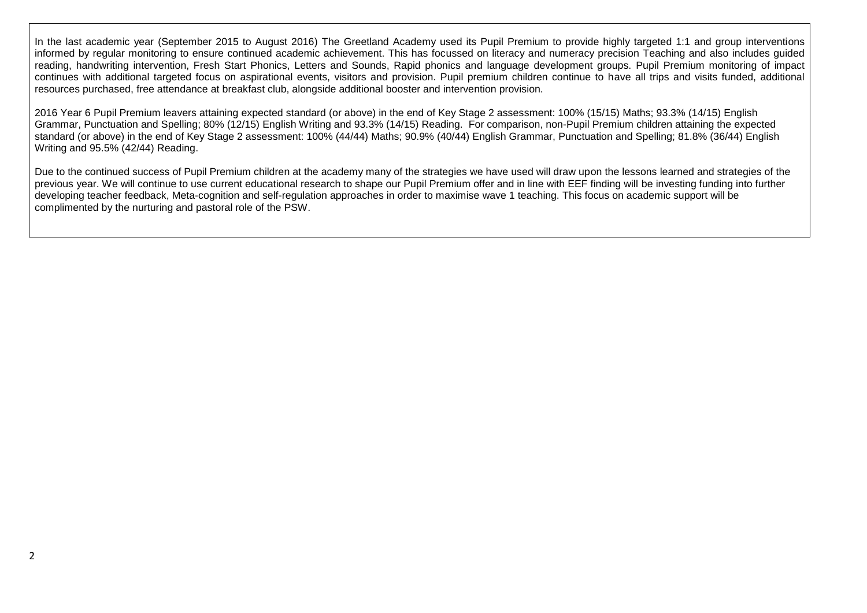In the last academic year (September 2015 to August 2016) The Greetland Academy used its Pupil Premium to provide highly targeted 1:1 and group interventions informed by regular monitoring to ensure continued academic achievement. This has focussed on literacy and numeracy precision Teaching and also includes guided reading, handwriting intervention, Fresh Start Phonics, Letters and Sounds, Rapid phonics and language development groups. Pupil Premium monitoring of impact continues with additional targeted focus on aspirational events, visitors and provision. Pupil premium children continue to have all trips and visits funded, additional resources purchased, free attendance at breakfast club, alongside additional booster and intervention provision.

2016 Year 6 Pupil Premium leavers attaining expected standard (or above) in the end of Key Stage 2 assessment: 100% (15/15) Maths; 93.3% (14/15) English Grammar, Punctuation and Spelling; 80% (12/15) English Writing and 93.3% (14/15) Reading. For comparison, non-Pupil Premium children attaining the expected standard (or above) in the end of Key Stage 2 assessment: 100% (44/44) Maths; 90.9% (40/44) English Grammar, Punctuation and Spelling; 81.8% (36/44) English Writing and 95.5% (42/44) Reading.

Due to the continued success of Pupil Premium children at the academy many of the strategies we have used will draw upon the lessons learned and strategies of the previous year. We will continue to use current educational research to shape our Pupil Premium offer and in line with EEF finding will be investing funding into further developing teacher feedback, Meta-cognition and self-regulation approaches in order to maximise wave 1 teaching. This focus on academic support will be complimented by the nurturing and pastoral role of the PSW.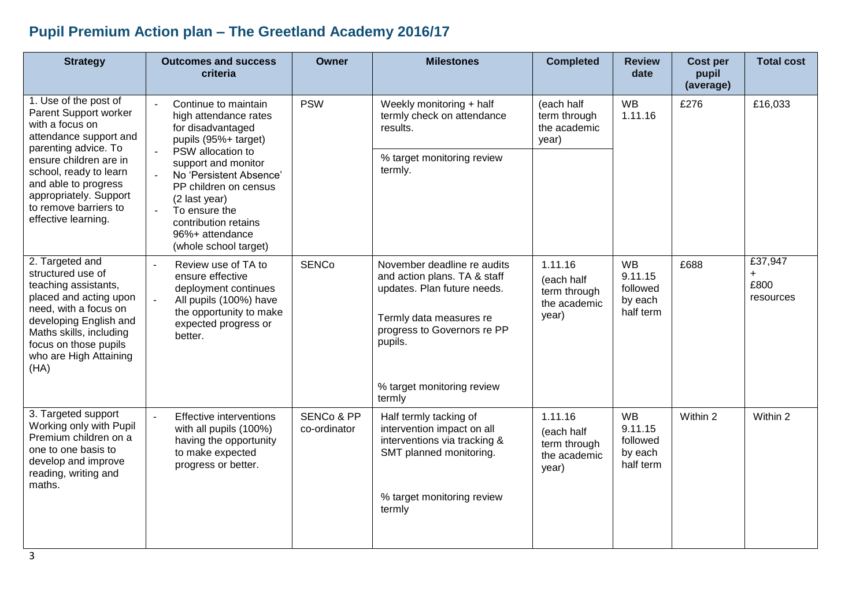## **Pupil Premium Action plan – The Greetland Academy 2016/17**

| <b>Strategy</b>                                                                                                                                                                                                                 | <b>Outcomes and success</b><br>criteria                                                                                                                                                            | <b>Owner</b>                          | <b>Milestones</b>                                                                                                                                                                             | <b>Completed</b>                                               | <b>Review</b><br>date                                    | <b>Cost per</b><br>pupil<br>(average) | <b>Total cost</b>                   |
|---------------------------------------------------------------------------------------------------------------------------------------------------------------------------------------------------------------------------------|----------------------------------------------------------------------------------------------------------------------------------------------------------------------------------------------------|---------------------------------------|-----------------------------------------------------------------------------------------------------------------------------------------------------------------------------------------------|----------------------------------------------------------------|----------------------------------------------------------|---------------------------------------|-------------------------------------|
| 1. Use of the post of<br>Parent Support worker<br>with a focus on<br>attendance support and<br>parenting advice. To                                                                                                             | Continue to maintain<br>high attendance rates<br>for disadvantaged<br>pupils (95%+ target)                                                                                                         | <b>PSW</b>                            | Weekly monitoring + half<br>termly check on attendance<br>results.                                                                                                                            | (each half<br>term through<br>the academic<br>year)            | <b>WB</b><br>1.11.16                                     | £276                                  | £16,033                             |
| ensure children are in<br>school, ready to learn<br>and able to progress<br>appropriately. Support<br>to remove barriers to<br>effective learning.                                                                              | PSW allocation to<br>support and monitor<br>No 'Persistent Absence'<br>PP children on census<br>(2 last year)<br>To ensure the<br>contribution retains<br>96%+ attendance<br>(whole school target) |                                       | % target monitoring review<br>termly.                                                                                                                                                         |                                                                |                                                          |                                       |                                     |
| 2. Targeted and<br>structured use of<br>teaching assistants,<br>placed and acting upon<br>need, with a focus on<br>developing English and<br>Maths skills, including<br>focus on those pupils<br>who are High Attaining<br>(HA) | Review use of TA to<br>$\sim$<br>ensure effective<br>deployment continues<br>$\sim$<br>All pupils (100%) have<br>the opportunity to make<br>expected progress or<br>better.                        | <b>SENCo</b>                          | November deadline re audits<br>and action plans. TA & staff<br>updates. Plan future needs.<br>Termly data measures re<br>progress to Governors re PP<br>pupils.<br>% target monitoring review | 1.11.16<br>(each half<br>term through<br>the academic<br>year) | <b>WB</b><br>9.11.15<br>followed<br>by each<br>half term | £688                                  | £37,947<br>$+$<br>£800<br>resources |
|                                                                                                                                                                                                                                 |                                                                                                                                                                                                    |                                       | termly                                                                                                                                                                                        |                                                                |                                                          |                                       |                                     |
| 3. Targeted support<br>Working only with Pupil<br>Premium children on a<br>one to one basis to<br>develop and improve<br>reading, writing and<br>maths.                                                                         | Effective interventions<br>with all pupils (100%)<br>having the opportunity<br>to make expected<br>progress or better.                                                                             | <b>SENCo &amp; PP</b><br>co-ordinator | Half termly tacking of<br>intervention impact on all<br>interventions via tracking &<br>SMT planned monitoring.<br>% target monitoring review<br>termly                                       | 1.11.16<br>(each half<br>term through<br>the academic<br>year) | <b>WB</b><br>9.11.15<br>followed<br>by each<br>half term | Within 2                              | Within 2                            |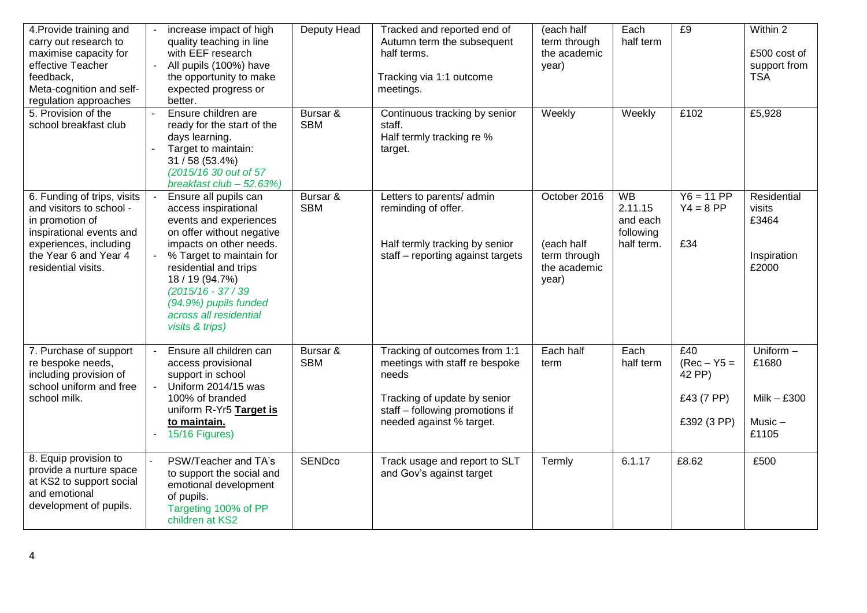| 4. Provide training and<br>carry out research to<br>maximise capacity for<br>effective Teacher<br>feedback,<br>Meta-cognition and self-<br>regulation approaches<br>5. Provision of the | increase impact of high<br>quality teaching in line<br>with EEF research<br>$\overline{a}$<br>All pupils (100%) have<br>the opportunity to make<br>expected progress or<br>better.<br>Ensure children are<br>$\mathbf{r}$                                                                                            | Deputy Head<br>Bursar & | Tracked and reported end of<br>Autumn term the subsequent<br>half terms.<br>Tracking via 1:1 outcome<br>meetings.<br>Continuous tracking by senior                      | (each half<br>term through<br>the academic<br>year)<br>Weekly       | Each<br>half term<br>Weekly                                 | E9<br>£102                                                  | $\overline{\text{Within}}$ 2<br>£500 cost of<br>support from<br><b>TSA</b><br>£5,928 |
|-----------------------------------------------------------------------------------------------------------------------------------------------------------------------------------------|----------------------------------------------------------------------------------------------------------------------------------------------------------------------------------------------------------------------------------------------------------------------------------------------------------------------|-------------------------|-------------------------------------------------------------------------------------------------------------------------------------------------------------------------|---------------------------------------------------------------------|-------------------------------------------------------------|-------------------------------------------------------------|--------------------------------------------------------------------------------------|
| school breakfast club                                                                                                                                                                   | ready for the start of the<br>days learning.<br>Target to maintain:<br>31 / 58 (53.4%)<br>(2015/16 30 out of 57<br>breakfast $club - 52.63\%)$                                                                                                                                                                       | <b>SBM</b>              | staff.<br>Half termly tracking re %<br>target.                                                                                                                          |                                                                     |                                                             |                                                             |                                                                                      |
| 6. Funding of trips, visits<br>and visitors to school -<br>in promotion of<br>inspirational events and<br>experiences, including<br>the Year 6 and Year 4<br>residential visits.        | Ensure all pupils can<br>$\mathbf{r}$<br>access inspirational<br>events and experiences<br>on offer without negative<br>impacts on other needs.<br>% Target to maintain for<br>residential and trips<br>18 / 19 (94.7%)<br>$(2015/16 - 37/39)$<br>(94.9%) pupils funded<br>across all residential<br>visits & trips) | Bursar &<br><b>SBM</b>  | Letters to parents/ admin<br>reminding of offer.<br>Half termly tracking by senior<br>staff - reporting against targets                                                 | October 2016<br>(each half<br>term through<br>the academic<br>year) | <b>WB</b><br>2.11.15<br>and each<br>following<br>half term. | $Y6 = 11 PP$<br>$Y4 = 8 PP$<br>£34                          | Residential<br>visits<br>£3464<br>Inspiration<br>£2000                               |
| 7. Purchase of support<br>re bespoke needs,<br>including provision of<br>school uniform and free<br>school milk.                                                                        | Ensure all children can<br>access provisional<br>support in school<br>Uniform 2014/15 was<br>$\overline{a}$<br>100% of branded<br>uniform R-Yr5 Target is<br>to maintain.<br>15/16 Figures)                                                                                                                          | Bursar &<br><b>SBM</b>  | Tracking of outcomes from 1:1<br>meetings with staff re bespoke<br>needs<br>Tracking of update by senior<br>staff - following promotions if<br>needed against % target. | Each half<br>term                                                   | Each<br>half term                                           | E40<br>$(Rec - Y5 =$<br>42 PP)<br>£43 (7 PP)<br>£392 (3 PP) | Uniform -<br>£1680<br>$Milk - £300$<br>$Music -$<br>£1105                            |
| 8. Equip provision to<br>provide a nurture space<br>at KS2 to support social<br>and emotional<br>development of pupils.                                                                 | PSW/Teacher and TA's<br>to support the social and<br>emotional development<br>of pupils.<br>Targeting 100% of PP<br>children at KS2                                                                                                                                                                                  | <b>SENDco</b>           | Track usage and report to SLT<br>and Gov's against target                                                                                                               | Termly                                                              | 6.1.17                                                      | £8.62                                                       | £500                                                                                 |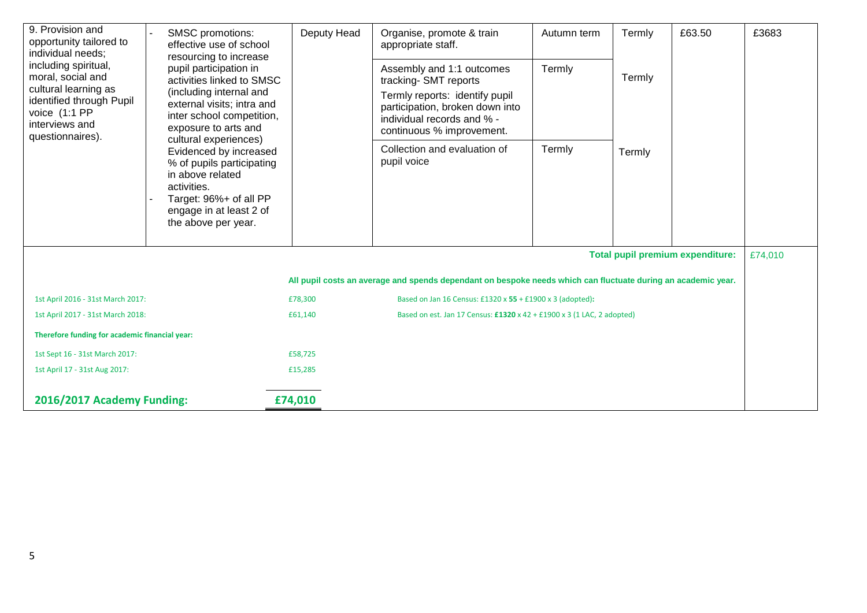| 9. Provision and<br><b>SMSC</b> promotions:<br>opportunity tailored to<br>effective use of school<br>individual needs;<br>resourcing to increase<br>including spiritual,<br>pupil participation in<br>moral, social and<br>cultural learning as<br>(including internal and<br>identified through Pupil<br>voice (1:1 PP<br>interviews and<br>exposure to arts and<br>questionnaires). |                                                                                                                                                                    | Deputy Head | Organise, promote & train<br>appropriate staff.<br>Assembly and 1:1 outcomes                                                                         | Autumn term<br>Termly | Termly<br>Termly | £63.50                                  | £3683   |
|---------------------------------------------------------------------------------------------------------------------------------------------------------------------------------------------------------------------------------------------------------------------------------------------------------------------------------------------------------------------------------------|--------------------------------------------------------------------------------------------------------------------------------------------------------------------|-------------|------------------------------------------------------------------------------------------------------------------------------------------------------|-----------------------|------------------|-----------------------------------------|---------|
|                                                                                                                                                                                                                                                                                                                                                                                       | activities linked to SMSC<br>external visits; intra and<br>inter school competition,<br>cultural experiences)                                                      |             | tracking-SMT reports<br>Termly reports: identify pupil<br>participation, broken down into<br>individual records and % -<br>continuous % improvement. |                       |                  |                                         |         |
|                                                                                                                                                                                                                                                                                                                                                                                       | Evidenced by increased<br>% of pupils participating<br>in above related<br>activities.<br>Target: 96%+ of all PP<br>engage in at least 2 of<br>the above per year. |             | Collection and evaluation of<br>pupil voice                                                                                                          | Termly                | Termly           |                                         |         |
|                                                                                                                                                                                                                                                                                                                                                                                       |                                                                                                                                                                    |             |                                                                                                                                                      |                       |                  | <b>Total pupil premium expenditure:</b> | £74,010 |
|                                                                                                                                                                                                                                                                                                                                                                                       |                                                                                                                                                                    |             | All pupil costs an average and spends dependant on bespoke needs which can fluctuate during an academic year.                                        |                       |                  |                                         |         |
| 1st April 2016 - 31st March 2017:                                                                                                                                                                                                                                                                                                                                                     |                                                                                                                                                                    | £78,300     | Based on Jan 16 Census: £1320 x 55 + £1900 x 3 (adopted):                                                                                            |                       |                  |                                         |         |
| 1st April 2017 - 31st March 2018:                                                                                                                                                                                                                                                                                                                                                     |                                                                                                                                                                    | £61,140     | Based on est. Jan 17 Census: £1320 x 42 + £1900 x 3 (1 LAC, 2 adopted)                                                                               |                       |                  |                                         |         |
| Therefore funding for academic financial year:                                                                                                                                                                                                                                                                                                                                        |                                                                                                                                                                    |             |                                                                                                                                                      |                       |                  |                                         |         |
| 1st Sept 16 - 31st March 2017:                                                                                                                                                                                                                                                                                                                                                        |                                                                                                                                                                    | £58,725     |                                                                                                                                                      |                       |                  |                                         |         |
| 1st April 17 - 31st Aug 2017:                                                                                                                                                                                                                                                                                                                                                         |                                                                                                                                                                    | £15,285     |                                                                                                                                                      |                       |                  |                                         |         |
| 2016/2017 Academy Funding:                                                                                                                                                                                                                                                                                                                                                            |                                                                                                                                                                    | £74,010     |                                                                                                                                                      |                       |                  |                                         |         |